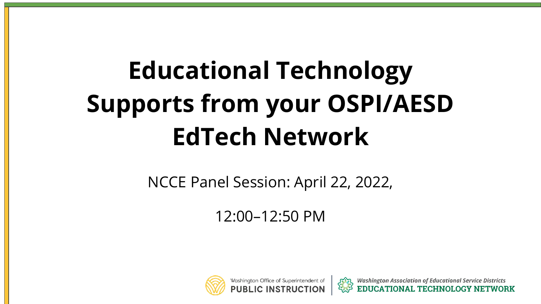# **Educational Technology Supports from your OSPI/AESD EdTech Network**

NCCE Panel Session: April 22, 2022,

12:00–12:50 PM



Washington Office of Superintendent of



**Washington Association of Educational Service Districts**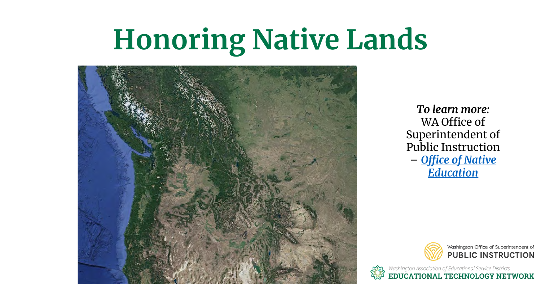# **Honoring Native Lands**



*To learn more:* WA Office of Superintendent of Public Instruction – *[Office of Native](https://www.k12.wa.us/student-success/access-opportunity-education/native-education)  Education*



Washington Association of Educational Service Districts<br> **EDUCATIONAL TECHNOLOGY NETWORK**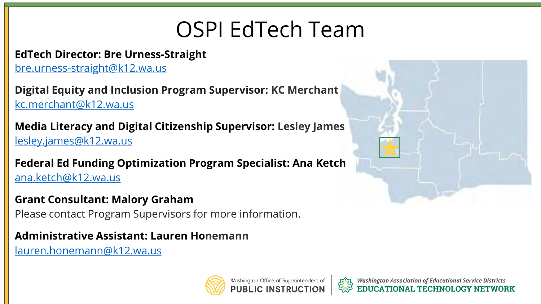## OSPI EdTech Team

#### **EdTech Director: Bre Urness-Straight**

bre.urness-straight@k12.wa.us

**Digital Equity and Inclusion Program Supervisor: KC Merchant**  kc.merchant@k12.wa.us

**Media Literacy and Digital Citizenship Supervisor: Lesley James**  lesley.james@k12.wa.us

**Federal Ed Funding Optimization Program Specialist: Ana Ketch**  ana.ketch@k12.wa.us

#### **Grant Consultant: Malory Graham**

Please contact Program Supervisors for more information.

#### **Administrative Assistant: Lauren Honemann**

[lauren.honemann@k12.wa.us](mailto:lauren.honemann@k12.wa.us)







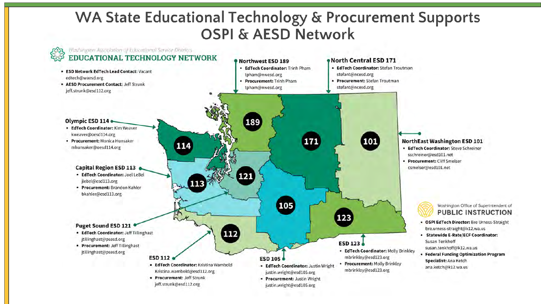#### **WA State Educational Technology & Procurement Supports** OSPI & AESD Network

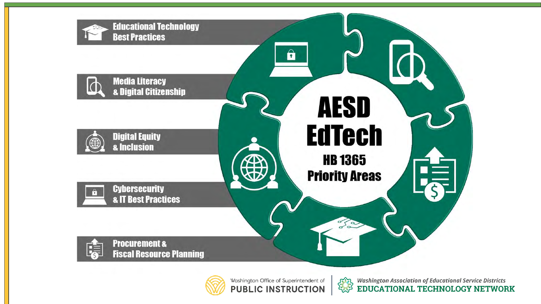



Washington Office of Superintendent of **PUBLIC INSTRUCTION** 



*Com Washington Association of Educational Service Districts*<br>
EDUCATIONAL TECHNOLOGY NETWORK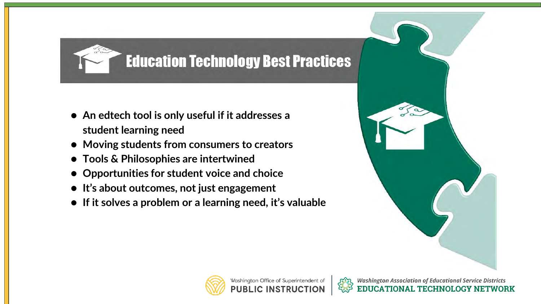### **Education Technology Best Practices**

- **An edtech tool is only useful if it addresses a student learning need**
- **Moving students from consumers to creators**
- **Tools & Philosophies are intertwined**
- **Opportunities for student voice and choice**
- **It's about outcomes, not just engagement**
- **If it solves a problem or a learning need, it's valuable**



**CATIONAL TECHNOLOGY NETWORK** 



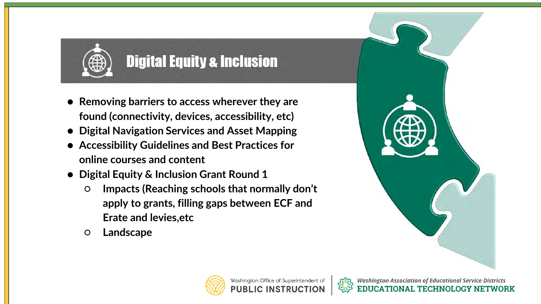

### **Digital Equity & Inclusion**

- **Removing barriers to access wherever they are found (connectivity, devices, accessibility, etc)**
- **Digital Navigation Services and Asset Mapping**
- **Accessibility Guidelines and Best Practices for online courses and content**
- **Digital Equity & Inclusion Grant Round 1**
	- **Impacts (Reaching schools that normally don't apply to grants, filling gaps between ECF and Erate and levies,etc**
	- **Landscape**





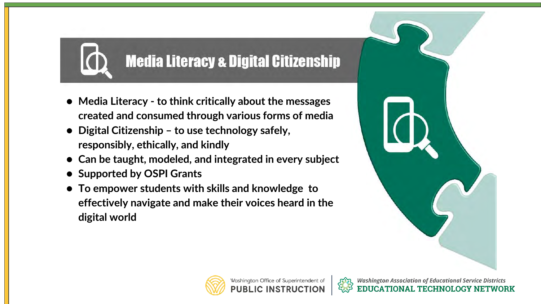### **Media Literacy & Digital Citizenship**

- **Media Literacy - to think critically about the messages created and consumed through various forms of media**
- **Digital Citizenship – to use technology safely, responsibly, ethically, and kindly**
- **Can be taught, modeled, and integrated in every subject**
- **Supported by OSPI Grants**
- **To empower students with skills and knowledge to effectively navigate and make their voices heard in the digital world**



**CATIONAL TECHNOLOGY NETWORK** 



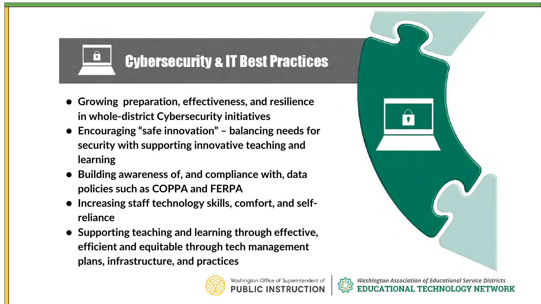### **Cybersecurity & IT Best Practices**

● **Growing preparation, effectiveness, and resilience in whole-district Cybersecurity initiatives**

 $\sqrt{2}$ 

- **Encouraging "safe innovation" – balancing needs for security with supporting innovative teaching and learning**
- **Building awareness of, and compliance with, data policies such as COPPA and FERPA**
- **Increasing staff technology skills, comfort, and selfreliance**
- **Supporting teaching and learning through effective, efficient and equitable through tech management plans, infrastructure, and practices**





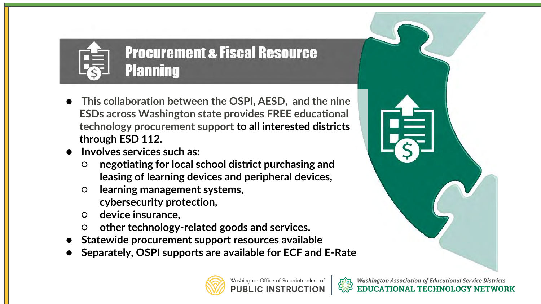

**Procurement & Fiscal Resource Planning** 

- **This collaboration between the OSPI, AESD, and the nine ESDs across Washington state provides FREE educational technology procurement support to all interested districts through ESD 112.**
- **Involves services such as:** 
	- **negotiating for local school district purchasing and leasing of learning devices and peripheral devices,**
	- **learning management systems, cybersecurity protection,**
	- **device insurance,**
	- **other technology-related goods and services.**
- Statewide procurement support resources available
- **Separately, OSPI supports are available for ECF and E-Rate**





**CATIONAL TECHNOLOGY NETWORK**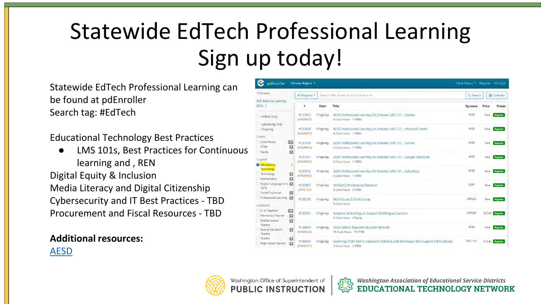## Statewide EdTech Professional Learning Sign up today!

Statewide EdTech Professional Learning can be found at pdEnroller Search tag: #EdTech

Educational Technology Best Practices

**LMS 101s, Best Practices for Continuous** learning and , REN Digital Equity & Inclusion Media Literacy and Digital Citizenship Cybersecurity and IT Best Practices - TBD Procurement and Fiscal Resources - TBD

#### **Additional resources:**

[AESD](https://learn.waesd.org/)

pdEnroller Choose Region Clock Hours \* Register <a>
<a>
</a>
</a>
</a>
<a>
<a>
Register <a>
<a>
<a>
</a>
<a>
<a>
</a>
Log Ir 13 Found All Regions . Search Title, Event Id, or Clock Hour **自 Calendar** Q Search **ESD Remote Learning**  $(ERL)$ Status AESD Professional Learning On Demand: LMS 101 - Seesaw #137405 Ongoing Register Online Only (VAK0457) 6 Clock Hours 1 STEM **Upcoming Only** #137408 AESD Professional Learning On Demand: LMS 101 - Microsoft Teams Register Ongoing Ongoing Froo  $NAKD456$ **E Clock Hours 1 STEM** Credits Clock Hours #137410 Ongoing AESE Free Register AESD Professional Learning On Demand: LMS 101 - Canva STEM O (VAK0458) 6 Clock Hours 1 STEM Equity #137411 Ongoing AESD Professional Learning On Demand: LMS 101 - Google Classroon AESD Free Register Subjects **NAKO459** 6 Clock Hours 1 STEM **Education** #137412 AESD Professional Learning On Demand: LMS 101 - Schoology Register Technology 厦 **NAKO450** 6 Clock Hours 1 STEN Mathematic 日 English Language Arts #137637 Ongoing WINforCS Professional Network Free Register  $(FLA)$  $(SPEO153)$ **6 Clock Hours 6 STEN** Social Emotional Professional Learning #139218 Ongoing NorthSound EdTech Group NWEST Free Register 9 Clock Hours Audiences K-12 Teachers #139391 Ongoing Adaptive Technology to Support Multilingual Learners **NWFSD** \$25.00 Register **Flementary Teacher** D 3 Clock Hours 3 Fourth Middle School Teacher #138024 Ongoing AESD EdTech Regional Educator Network Register Free Special Education  $NAK0546$ 25 Clock Hours 15 STEN Teacher Teache Ø ESD 112 #140684 Ongoing Exploring STEM Part 4: Classroom Activities and Techniques that Support STEM Literacy \$15.00 Register High School Teacher E VAK095 3 Clock Hours 3 STEN



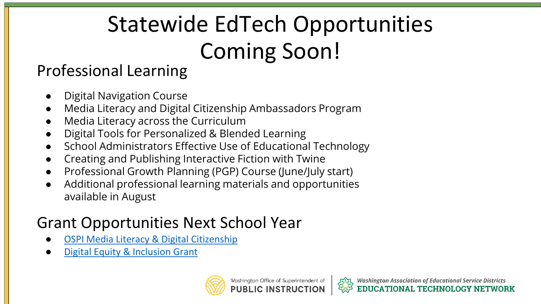## Statewide EdTech Opportunities Coming Soon!

#### Professional Learning

- **Digital Navigation Course**
- Media Literacy and Digital Citizenship Ambassadors Program
- Media Literacy across the Curriculum
- Digital Tools for Personalized & Blended Learning
- School Administrators Effective Use of Educational Technology
- Creating and Publishing Interactive Fiction with Twine
- Professional Growth Planning (PGP) Course (June/July start)
- Additional professional learning materials and opportunities available in August

## Grant Opportunities Next School Year

- **[OSPI Media Literacy & Digital Citizenship](https://www.k12.wa.us/policy-funding/school-technology/media-literacy-digital-citizenship)**
- **[Digital Equity & Inclusion Grant](https://www.k12.wa.us/policy-funding/grants-grant-management/digital-equity-and-inclusion-grant)**